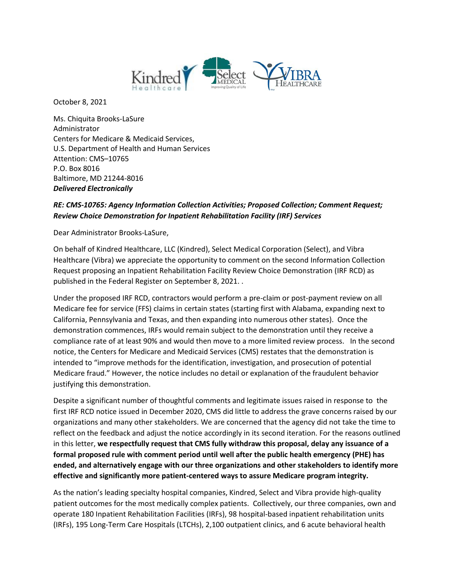

October 8, 2021

 Attention: CMS–10765 Baltimore, MD 21244-8016 Ms. Chiquita Brooks-LaSure Administrator Centers for Medicare & Medicaid Services, U.S. Department of Health and Human Services P.O. Box 8016 *Delivered Electronically* 

## *Review Choice Demonstration for Inpatient Rehabilitation Facility (IRF) Services RE: CMS-10765: Agency Information Collection Activities; Proposed Collection; Comment Request;*

Dear Administrator Brooks-LaSure,

 On behalf of Kindred Healthcare, LLC (Kindred), Select Medical Corporation (Select), and Vibra Healthcare (Vibra) we appreciate the opportunity to comment on the second Information Collection Request proposing an Inpatient Rehabilitation Facility Review Choice Demonstration (IRF RCD) as published in the Federal Register on September 8, 2021. .

 Under the proposed IRF RCD, contractors would perform a pre-claim or post-payment review on all Medicare fee for service (FFS) claims in certain states (starting first with Alabama, expanding next to compliance rate of at least 90% and would then move to a more limited review process. In the second California, Pennsylvania and Texas, and then expanding into numerous other states). Once the demonstration commences, IRFs would remain subject to the demonstration until they receive a notice, the Centers for Medicare and Medicaid Services (CMS) restates that the demonstration is intended to "improve methods for the identification, investigation, and prosecution of potential Medicare fraud." However, the notice includes no detail or explanation of the fraudulent behavior justifying this demonstration.

 Despite a significant number of thoughtful comments and legitimate issues raised in response to the organizations and many other stakeholders. We are concerned that the agency did not take the time to  in this letter, **we respectfully request that CMS fully withdraw this proposal, delay any issuance of a formal proposed rule with comment period until well after the public health emergency (PHE) has ended, and alternatively engage with our three organizations and other stakeholders to identify more**  first IRF RCD notice issued in December 2020, CMS did little to address the grave concerns raised by our reflect on the feedback and adjust the notice accordingly in its second iteration. For the reasons outlined **effective and significantly more patient-centered ways to assure Medicare program integrity.** 

 (IRFs), 195 Long-Term Care Hospitals (LTCHs), 2,100 outpatient clinics, and 6 acute behavioral health As the nation's leading specialty hospital companies, Kindred, Select and Vibra provide high-quality patient outcomes for the most medically complex patients. Collectively, our three companies, own and operate 180 Inpatient Rehabilitation Facilities (IRFs), 98 hospital-based inpatient rehabilitation units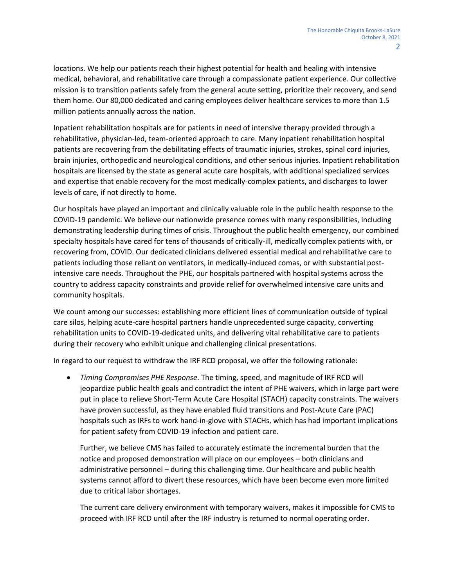locations. We help our patients reach their highest potential for health and healing with intensive medical, behavioral, and rehabilitative care through a compassionate patient experience. Our collective mission is to transition patients safely from the general acute setting, prioritize their recovery, and send them home. Our 80,000 dedicated and caring employees deliver healthcare services to more than 1.5 million patients annually across the nation.

Inpatient rehabilitation hospitals are for patients in need of intensive therapy provided through a rehabilitative, physician-led, team-oriented approach to care. Many inpatient rehabilitation hospital patients are recovering from the debilitating effects of traumatic injuries, strokes, spinal cord injuries, brain injuries, orthopedic and neurological conditions, and other serious injuries. Inpatient rehabilitation hospitals are licensed by the state as general acute care hospitals, with additional specialized services and expertise that enable recovery for the most medically-complex patients, and discharges to lower levels of care, if not directly to home.

Our hospitals have played an important and clinically valuable role in the public health response to the COVID-19 pandemic. We believe our nationwide presence comes with many responsibilities, including demonstrating leadership during times of crisis. Throughout the public health emergency, our combined specialty hospitals have cared for tens of thousands of critically-ill, medically complex patients with, or recovering from, COVID. Our dedicated clinicians delivered essential medical and rehabilitative care to patients including those reliant on ventilators, in medically-induced comas, or with substantial postintensive care needs. Throughout the PHE, our hospitals partnered with hospital systems across the country to address capacity constraints and provide relief for overwhelmed intensive care units and community hospitals.

 rehabilitation units to COVID-19-dedicated units, and delivering vital rehabilitative care to patients We count among our successes: establishing more efficient lines of communication outside of typical care silos, helping acute-care hospital partners handle unprecedented surge capacity, converting during their recovery who exhibit unique and challenging clinical presentations.

In regard to our request to withdraw the IRF RCD proposal, we offer the following rationale:

 *Timing Compromises PHE Response*. The timing, speed, and magnitude of IRF RCD will jeopardize public health goals and contradict the intent of PHE waivers, which in large part were put in place to relieve Short-Term Acute Care Hospital (STACH) capacity constraints. The waivers have proven successful, as they have enabled fluid transitions and Post-Acute Care (PAC) hospitals such as IRFs to work hand-in-glove with STACHs, which has had important implications for patient safety from COVID-19 infection and patient care.

Further, we believe CMS has failed to accurately estimate the incremental burden that the notice and proposed demonstration will place on our employees – both clinicians and administrative personnel – during this challenging time. Our healthcare and public health systems cannot afford to divert these resources, which have been become even more limited due to critical labor shortages.

 proceed with IRF RCD until after the IRF industry is returned to normal operating order. The current care delivery environment with temporary waivers, makes it impossible for CMS to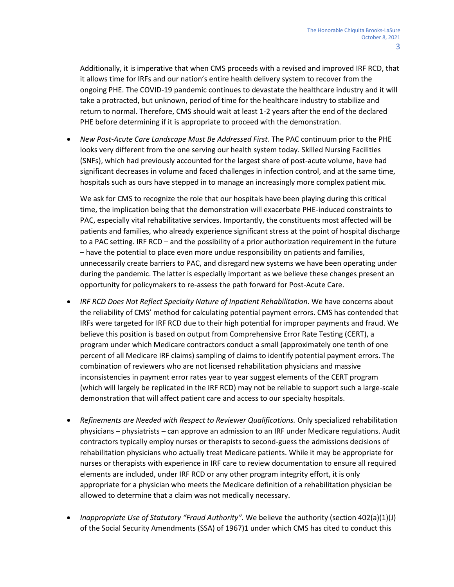PHE before determining if it is appropriate to proceed with the demonstration. Additionally, it is imperative that when CMS proceeds with a revised and improved IRF RCD, that it allows time for IRFs and our nation's entire health delivery system to recover from the ongoing PHE. The COVID-19 pandemic continues to devastate the healthcare industry and it will take a protracted, but unknown, period of time for the healthcare industry to stabilize and return to normal. Therefore, CMS should wait at least 1-2 years after the end of the declared

 (SNFs), which had previously accounted for the largest share of post-acute volume, have had significant decreases in volume and faced challenges in infection control, and at the same time, hospitals such as ours have stepped in to manage an increasingly more complex patient mix. *New Post-Acute Care Landscape Must Be Addressed First*. The PAC continuum prior to the PHE looks very different from the one serving our health system today. Skilled Nursing Facilities

 We ask for CMS to recognize the role that our hospitals have been playing during this critical to a PAC setting. IRF RCD – and the possibility of a prior authorization requirement in the future time, the implication being that the demonstration will exacerbate PHE-induced constraints to PAC, especially vital rehabilitative services. Importantly, the constituents most affected will be patients and families, who already experience significant stress at the point of hospital discharge – have the potential to place even more undue responsibility on patients and families, unnecessarily create barriers to PAC, and disregard new systems we have been operating under during the pandemic. The latter is especially important as we believe these changes present an opportunity for policymakers to re-assess the path forward for Post-Acute Care.

- the reliability of CMS' method for calculating potential payment errors. CMS has contended that combination of reviewers who are not licensed rehabilitation physicians and massive *IRF RCD Does Not Reflect Specialty Nature of Inpatient Rehabilitation*. We have concerns about IRFs were targeted for IRF RCD due to their high potential for improper payments and fraud. We believe this position is based on output from Comprehensive Error Rate Testing (CERT), a program under which Medicare contractors conduct a small (approximately one tenth of one percent of all Medicare IRF claims) sampling of claims to identify potential payment errors. The inconsistencies in payment error rates year to year suggest elements of the CERT program (which will largely be replicated in the IRF RCD) may not be reliable to support such a large-scale demonstration that will affect patient care and access to our specialty hospitals.
- elements are included, under IRF RCD or any other program integrity effort, it is only *Refinements are Needed with Respect to Reviewer Qualifications.* Only specialized rehabilitation physicians – physiatrists – can approve an admission to an IRF under Medicare regulations. Audit contractors typically employ nurses or therapists to second-guess the admissions decisions of rehabilitation physicians who actually treat Medicare patients. While it may be appropriate for nurses or therapists with experience in IRF care to review documentation to ensure all required appropriate for a physician who meets the Medicare definition of a rehabilitation physician be allowed to determine that a claim was not medically necessary.
- *Inappropriate Use of Statutory "Fraud Authority".* We believe the authority (section 402(a)(1)(J) of the Social Security Amendments (SSA) of 1967)1 under which CMS has cited to conduct this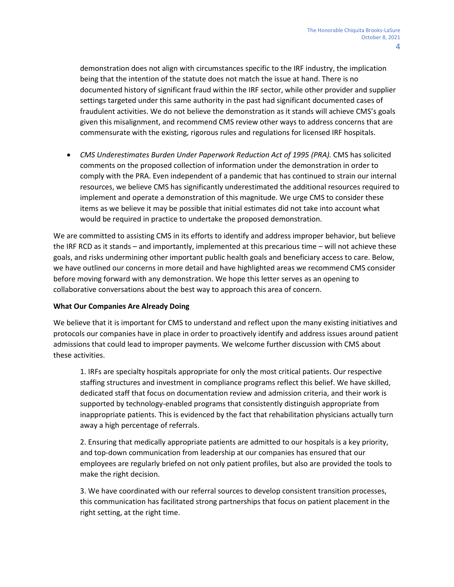demonstration does not align with circumstances specific to the IRF industry, the implication being that the intention of the statute does not match the issue at hand. There is no documented history of significant fraud within the IRF sector, while other provider and supplier settings targeted under this same authority in the past had significant documented cases of fraudulent activities. We do not believe the demonstration as it stands will achieve CMS's goals given this misalignment, and recommend CMS review other ways to address concerns that are commensurate with the existing, rigorous rules and regulations for licensed IRF hospitals.

• CMS Underestimates Burden Under Paperwork Reduction Act of 1995 (PRA). CMS has solicited comments on the proposed collection of information under the demonstration in order to comply with the PRA. Even independent of a pandemic that has continued to strain our internal resources, we believe CMS has significantly underestimated the additional resources required to implement and operate a demonstration of this magnitude. We urge CMS to consider these items as we believe it may be possible that initial estimates did not take into account what would be required in practice to undertake the proposed demonstration.

 We are committed to assisting CMS in its efforts to identify and address improper behavior, but believe the IRF RCD as it stands – and importantly, implemented at this precarious time – will not achieve these goals, and risks undermining other important public health goals and beneficiary access to care. Below, we have outlined our concerns in more detail and have highlighted areas we recommend CMS consider before moving forward with any demonstration. We hope this letter serves as an opening to collaborative conversations about the best way to approach this area of concern.

## **What Our Companies Are Already Doing**

We believe that it is important for CMS to understand and reflect upon the many existing initiatives and protocols our companies have in place in order to proactively identify and address issues around patient admissions that could lead to improper payments. We welcome further discussion with CMS about these activities.

 1. IRFs are specialty hospitals appropriate for only the most critical patients. Our respective staffing structures and investment in compliance programs reflect this belief. We have skilled, dedicated staff that focus on documentation review and admission criteria, and their work is supported by technology-enabled programs that consistently distinguish appropriate from inappropriate patients. This is evidenced by the fact that rehabilitation physicians actually turn away a high percentage of referrals.

 2. Ensuring that medically appropriate patients are admitted to our hospitals is a key priority, and top-down communication from leadership at our companies has ensured that our employees are regularly briefed on not only patient profiles, but also are provided the tools to make the right decision.

3. We have coordinated with our referral sources to develop consistent transition processes, this communication has facilitated strong partnerships that focus on patient placement in the right setting, at the right time.